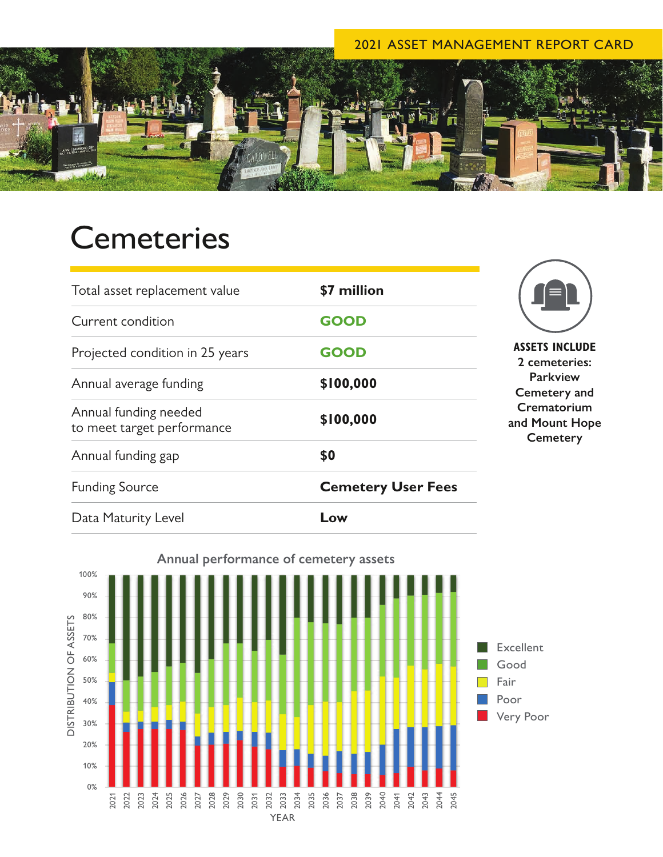## 2021 ASSET MANAGEMENT REPORT CARD



## **Cemeteries**

| Total asset replacement value                       | \$7 million               |
|-----------------------------------------------------|---------------------------|
| Current condition                                   | <b>GOOD</b>               |
| Projected condition in 25 years                     | <b>GOOD</b>               |
| Annual average funding                              | \$100,000                 |
| Annual funding needed<br>to meet target performance | \$100,000                 |
| Annual funding gap                                  | \$0                       |
| <b>Funding Source</b>                               | <b>Cemetery User Fees</b> |
| Data Maturity Level                                 | Low                       |



**TS INCLUDE 2 cemeteries: Parkview Cemetery and Crematorium and Hope** emetery